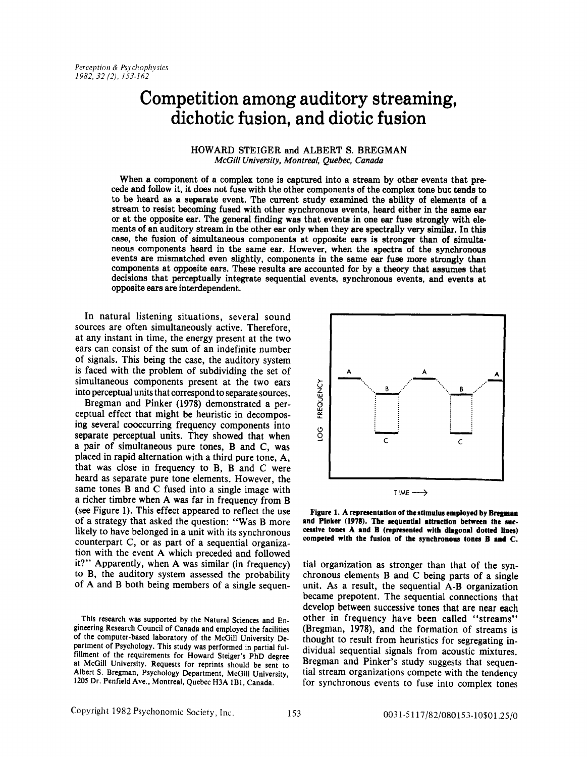# **Competition among auditory streaming, dichotic fusion, and diotic fusion**

## **HOWARD** STEIGER and **ALBERT S.** BREGMAN *McGill University, Montreal, Quebec, Canada*

When a component of a complex tone is captured into a stream by other events that precede and follow it, it does not fuse with the other components of the complex tone but tends to to be heard as a separate event. The current study examined the ability of elements of a stream to resist becoming fused with other synchronous events, heard either in the same ear or at the opposite ear. The general finding was that events in one ear fuse strongly with elements of an auditory stream in the other ear only when they are spectrally very similar. In this case, the fusion of simultaneous components at opposite ears is stronger than of simultaneous components heard in the same ear. However, when the spectra of the synchronous events are mismatched even slightly, components in the same ear fuse more strongly than components at opposite ears. These results are accounted for by a theory that assumes that decisions that perceptually integrate sequential events, synchronous events, and events at opposite ears are interdependent.

In natural listening situations, several sound sources are often simultaneously active. Therefore, at any instant in time, the energy present at the two ears can consist of the sum of an indefinite number of signals. This being the case, the auditory system is faced with the problem of subdividing the set of simultaneous components present at the two ears into perceptual units that correspond to separate sources.

Bregman and Pinker (1978) demonstrated a perceptual effect that might be heuristic in decomposing several cooccurring frequency components into separate perceptual units. They showed that when a pair of simultaneous pure tones, B and C, was placed in rapid alternation with a third pure tone, A, that was close in frequency to B, B and C were heard as separate pure tone elements. However, the same tones B and C fused into a single image with a richer timbre when A was far in frequency from B (see Figure 1). This effect appeared to reflect the use of a strategy that asked the question: "Was B more likely to have belonged in a unit with its synchronous counterpart C, or as part of a sequential organization with the event A which preceded and followed it?" Apparently, when A was similar (in frequency) to B, the auditory system assessed the probability of A and B both being members of a single sequen-



Figure 1. A representation of the stimulus employed by Bregman and Pinker (1978). The sequential attraction between the suc**cessive tones A and B (represented with diagonal dotted lines)** competed **with the fusion of the synchronous tones B and**

tial organization as stronger than that of the synchronous elements B and C being parts of a single unit. As a result, the sequential A-B organization became prepotent. The sequential connections that develop between successive tones that are near each other in frequency have been called "streams" (Bregman, 1978), and the formation of streams is thought to result from heuristics for segregating individual sequential signals from acoustic mixtures. Bregman and Pinker's study suggests that sequential stream organizations compete with the tendency for synchronous events to fuse into complex tones

This research was supported by the Natural Sciences and Engineering Research Council of Canada and employed the facilities of the computer-based laboratory of the McGill University Department of Psychology. This study was performed in partial fulfillment of the requirements for Howard Steiger's PhD degree at McGill University. Requests for reprints should be sent to Albert S. Bregman, Psychology Department, McGill University, 1205 Dr. Penfield Ave., Montreal, Quebec H3A IBI, Canada.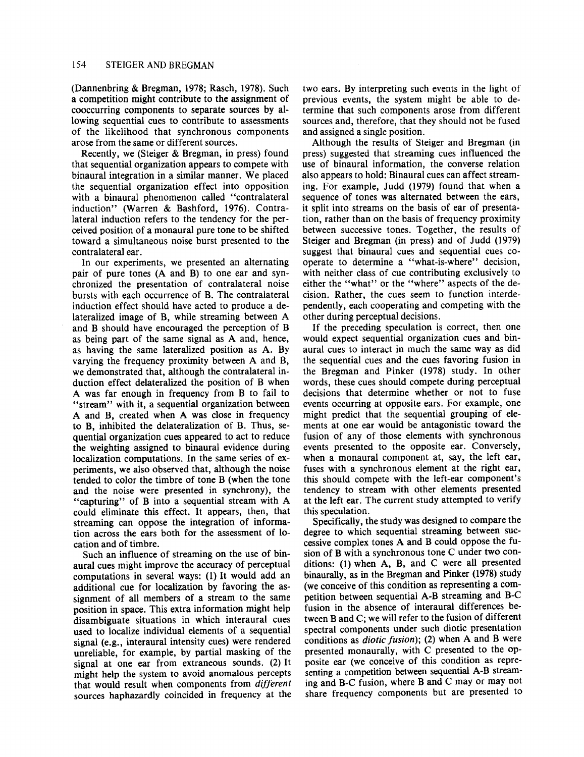(Dannenbring & Bregman, 1978; Rasch, 1978). Such a competition might contribute to the assignment of cooccurring components to separate sources by allowing sequential cues to contribute to assessments of the likelihood that synchronous components arose from the same or different sources.

Recently, we (Steiger & Bregman, in press) found that sequential organization appears to compete with binaural integration in a similar manner. We placed the sequential organization effect into opposition with a binaural phenomenon called "contralateral induction" (Warren & Bashford, 1976). Contralateral induction refers to the tendency for the perceived position of a monaural pure tone to be shifted toward a simultaneous noise burst presented to the contralateral ear.

In our experiments, we presented an alternating pair of pure tones (A and B) to one ear and synchronized the presentation of contralateral noise bursts with each occurrence of B. The contralateral induction effect should have acted to produce a delateralized image of B, while streaming between A and B should have encouraged the perception of B as being part of the same signal as A and, hence, as having the same lateralized position as A. By varying the frequency proximity between A and B, we demonstrated that, although the contralateral induction effect delateralized the position of B when A was far enough in frequency from B to fail to "stream" with it, a sequential organization between A and B, created when A was close in frequency to B, inhibited the delateralization of B. Thus, sequential organization cues appeared to act to reduce the weighting assigned to binaural evidence during localization computations. In the same series of experiments, we also observed that, although the noise tended to color the timbre of tone B (when the tone and the noise were presented in synchrony), the "capturing" of B into a sequential stream with A could eliminate this effect. It appears, then, that streaming can oppose the integration of information across the ears both for the assessment of location and of timbre.

Such an influence of streaming on the use of binaural cues might improve the accuracy of perceptual computations in several ways: (1) It would add an additional cue for localization by favoring the assignment of all members of a stream to the same position in space. This extra information might help disambiguate situations in which interaural cues used to localize individual elements of a sequential signal (e.g., interaural intensity cues) were rendered unreliable, for example, by partial masking of the signal at one ear from extraneous sounds. (2) It might help the system to avoid anomalous percepts that would result when components from *different* sources haphazardly coincided in frequency at the two ears. By interpreting such events in the light of previous events, the system might be able to determine that such components arose from different sources and, therefore, that they should not be fused and assigned a single position.

Although the results of Steiger and Bregman (in press) suggested that streaming cues influenced the use of binaural information, the converse relation also appears to hold: Binaural cues can affect streaming. For example, Judd (1979) found that when a sequence of tones was alternated between the ears, it split into streams on the basis of ear of presentation, rather than on the basis of frequency proximity between successive tones. Together, the results of Steiger and Bregman (in press) and of Judd (1979) suggest that binaural cues and sequential cues cooperate to determine a "what-is-where" decision, with neither class of cue contributing exclusively to either the "what" or the "where" aspects of the decision. Rather, the cues seem to function interdependently, each cooperating and competing with the other during perceptual decisions.

If the preceding speculation is correct, then one would expect sequential organization cues and binaural cues to interact in much the same way as did the sequential cues and the cues favoring fusion in the Bregman and Pinker (1978) study. In other words, these cues should compete during perceptual decisions that determine whether or not to fuse events occurring at opposite ears. For example., one might predict that the sequential grouping of elements at one ear would be antagonistic toward the fusion of any of those elements with synchronous events presented to the opposite ear. Conversely, when a monaural component at, say, the left ear, fuses with a synchronous element at the right ear, this should compete with the left-ear component's tendency to stream with other elements presented at the left ear. The current study attempted to verify this speculation.

Specifically, the study was designed to compare the degree to which sequential streaming between successive complex tones A and B could oppose the fusion of B with a synchronous tone C under two conditions: (1) when A, B, and C were all presented binaurally, as in the Bregman and Pinker (1978) study (we conceive of this condition as representing a competition between sequential A-B streaming and B-C fusion in the absence of interaural differences between B and C; we will refer to the fusion of different spectral components under such diotic presentation conditions as *diotic fusion);* (2) when A and B were presented monaurally, with C presented to the opposite ear (we conceive of this condition as representing a competition between sequential A-B streaming and B-C fusion, where B and C may or may not share frequency components but are presented to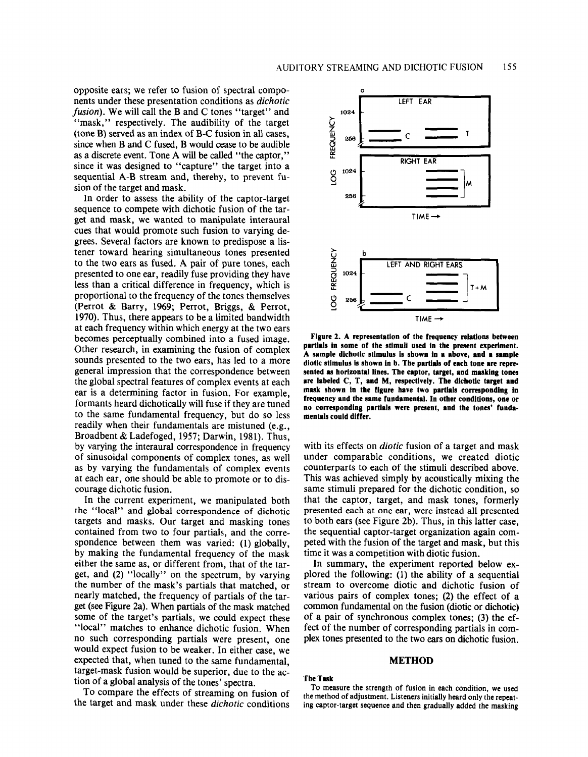opposite ears; we refer to fusion of spectral components under these presentation conditions as *dichotic fusion*). We will call the B and C tones "target" and "mask," respectively. The audibility of the target (tone B) served as an index of B-C fusion in all cases, since when B and C fused, B would cease to be audible as a discrete event. Tone A will be called "the captor," since it was designed to "capture" the target into a sequential A-B stream and, thereby, to prevent fusion of the target and mask.

In order to assess the ability of the captor-target sequence to compete with dichotic fusion of the target and mask, we wanted to manipulate interaural cues that would promote such fusion to varying degrees. Several factors are known to predispose a listener toward hearing simultaneous tones presented to the two ears as fused. A pair of pure tones, each presented to one ear, readily fuse providing they have less than a critical difference in frequency, which is proportional to the frequency of the tones themselves (Perrot & Barry, 1969; Perrot, Briggs, & Perrot, 1970). Thus, there appears to be a limited bandwidth at each frequency within which energy at the two ears becomes perceptually combined into a fused image. Other research, in examining the fusion of complex sounds presented to the two ears, has led to a more general impression that the correspondence between the global spectral features of complex events at each ear is a determining factor in fusion. For example, formants heard dichotically will fuse if they are tuned to the same fundamental frequency, but do so less readily when their fundamentals are mistuned (e.g., Broadbent & Ladefoged, 1957; Darwin, 1981). Thus, by varying the interaural correspondence in frequency of sinusoidal components of complex tones, as well as by varying the fundamentals of complex events at each ear, one should be able to promote or to discourage dichotic fusion.

In the current experiment, we manipulated both the "local" and global correspondence of dichotic targets and masks. Our target and masking tones contained from two to four partials, and the correspondence between them was varied:  $(1)$  globally, by making the fundamental frequency of the mask either the same as, or different from, that of the target, and (2) "locally" on the spectrum, by varying the number of the mask's partials that matched, or nearly matched, the frequency of partials of the target (see Figure 2a). When partials of the mask matched some of the target's partials, we could expect these "local" matches to enhance dichotic fusion. When no such corresponding partials were present, one would expect fusion to be weaker. In either case, we expected that, when tuned to the same fundamental, target-mask fusion would be superior, due to the action of a global analysis of the tones' spectra.

To compare the effects of streaming on fusion of the target and mask under these *dichotic* conditions



**Figure** 2. A **representation of the frequency relations between partials in some of the stimuli used in the present experiment.** <sup>A</sup>**sample dichotic stimulus is shown** in a **above, and s sample diotic stimulus is shown** in b. The partials **of each tone are repre. sented as horizontal lines. The captor, target, and masking tones are labeled** C, T, and M, **respectively. The dichotic target and mask shown in the figure have two partials corresponding in frequency and the same fundamental. In other onditions, one or no corresponding partials were present, and the tones' funds. mentals could differ.**

with its effects on *diotic* fusion of a target and mask under comparable conditions, we created diotic counterparts to each of the stimuli described above. This was achieved simply by acoustically mixing the same stimuli prepared for the dichotic condition, so that the captor, target, and mask tones, formerly presented each at one ear, were instead all presented to both ears (see Figure 2b). Thus, in this latter case, the sequential captor-target organization again competed with the fusion of the target and mask, but this time it was a competition with diotic fusion.

In summary, the experiment reported below explored the following: (1) the ability of a sequential stream to overcome diotic and dichotic fusion of various pairs of complex tones; (2) the effect of a common fundamental on the fusion (diotic or dichotic) of a pair of synchronous complex tones; (3) the effect of the number of corresponding partials in complex tones presented to the two ears on dichotic fusion.

## METHOD

**The Task**

To measure the strength of fusion in each condition, we used the method of adjustment. Listeners initially heard only the repeating captor-target sequence and then gradually added the masking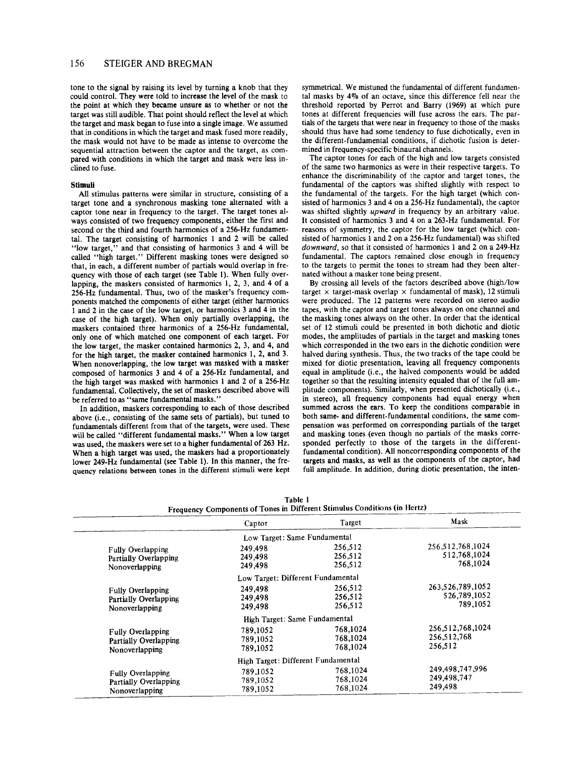# 156 STEIGER AND BREGMAN

tone to the signal by raising its level by turning a knob that they could control. They were told to increase the level of the mask to the point at which they became unsure as to whether or not the target was still audible. That point should reflect the level at which the target and mask began to fuse into a single image. We assumed that in conditions in which the target and mask fused more readily, the mask would not have to be made as intense to overcome the sequential attraction between the captor and the target, as compared with conditions in which the target and mask were less inclined to fuse.

### Stimuli

All stimulus patterns were similar in structure, consisting of a target tone and a synchronous masking tone alternated with a captor tone near in frequency to the target. The target tones always consisted of two frequency components, either the first and second or the third and fourth harmonics of a 256-Hz fundamental. The target consisting of harmonics 1 and 2 will be called "low target," and that consisting of harmonics 3 and 4 will be called "high target." Different masking tones were designed so that, in each, a different number of partials would overlap in frequency with those of each target (see Table 1). When fully overlapping, the maskers consisted of harmonics 1, 2, 3, and 4 of a 256-Hz fundamental. Thus, two of the masker's frequency components matched the components of either target (either harmonics 1 and 2 in the case of the low target, or harmonics 3 and 4 in the case of the high target). When only partially overlapping, the maskers contained three harmonics of a 256-Hz fundamental, only one of which matched one component of each target. For the low target, the masker contained harmonics 2, 3, and 4, and for the high target, the masker contained harmonics 1, 2, and 3. When nonoverlapping, the low target was masked with a masker composed of harmonics 3 and 4 of a 256-Hz fundamental, and the high target was masked with harmonics 1 and 2 of a 256-Hz fundamental. Collectively, the set of maskers described above will be referred to as "same fundamental masks."

In addition, maskers corresponding to each of those described above (i.e., consisting of the same sets of partials), but tuned to fundamentals different from that of the targets, were used. These will be called "different fundamental masks." When a low target was used, the maskers were set to a higher fundamental of 263 Hz. When a high target was used, the maskers had a proportionately lower 249-Hz fundamental (see Table 1). In this manner, the frequency relations between tones in the different stimuli were kept symmetrical. We mistuned the fundamental of different fundamental masks by 4% of an octave, since this difference fell near the threshold reported by Perrot and Barry (1969) at which pure tones at different frequencies will fuse across the ears. The partials of the targets that were near in frequency to those of the masks should thus have had some tendency to fuse dichotically, even in the different-fundamental conditions, if dichotic fusion is determined in frequency-specific binaural channels.

The captor tones for each of the high and low targets consisted of the same two harmonics as were in their respective targets. To enhance the discriminability of the captor and target tones, the fundamental of the captors was shifted slightly with respect to the fundamental of the targets. For the high target (which consisted of harmonics 3 and 4 on a 256-Hz fundamental), the captor was shifted slightly *upward* in frequency by an arbitrary value. It consisted of harmonics 3 and 4 on a 263-Hz fundamental. For reasons of symmetry, the captor for the low target (which consisted of harmonics 1 and 2 on a 256-Hz fundamental) was Shifted *downward,* so that it consisted of harmonics 1 and 2 on a 249-Hz fundamental. The captors remained close enough in frequency to the targets to permit the tones to stream had they been alternated without a masker tone being present.

By crossing all levels of the factors described above (high/low target  $\times$  target-mask overlap  $\times$  fundamental of mask), 12 stimuli were produced. The 12 patterns were recorded on stereo audio tapes, with the captor and target tones always on one channel and the masking tones always on the other. In order that the identical set of 12 stimuli could be presented in both dichotic and diotic modes, the amplitudes of partials in the target and masking tones which corresponded in the two ears in the dichotic condition were halved during synthesis. Thus, the two tracks of the tape could be mixed for diotic presentation, leaving all frequency components equal in amplitude (i.e., the halved components would be added together so that the resulting intensity equaled that of the full amplitude components). Similarly, when presented dichotically (i.e., in stereo), all frequency components had equal energy when summed across the ears. To keep the conditions comparable in both same- and different-fundamental conditions, the same compensation was performed on corresponding partials of the target and masking tones (even though no partials of the masks corresponded perfectly to those of the targets in the differentfundamental condition). All noncorresponding components of the targets and masks, as well as the components of the captor, had full amplitude. In addition, during diotic presentation, the inten-

| Frequency Components of Tones in Different Stimulus Conditions (in Hertz) |                                    |          |                     |  |  |
|---------------------------------------------------------------------------|------------------------------------|----------|---------------------|--|--|
|                                                                           | Target<br>Captor                   |          | Mask                |  |  |
|                                                                           | Low Target: Same Fundamental       |          |                     |  |  |
| <b>Fully Overlapping</b>                                                  | 249,498                            | 256,512  | 256, 512, 768, 1024 |  |  |
| Partially Overlapping                                                     | 249,498                            | 256,512  | 512,768,1024        |  |  |
| Nonoverlapping                                                            | 249,498                            | 256,512  | 768.1024            |  |  |
|                                                                           | Low Target: Different Fundamental  |          |                     |  |  |
| <b>Fully Overlapping</b>                                                  | 249,498                            | 256,512  | 263, 526, 789, 1052 |  |  |
| Partially Overlapping                                                     | 249.498                            | 256,512  | 526,789,1052        |  |  |
| Nonoverlapping                                                            | 249.498                            | 256,512  | 789,1052            |  |  |
|                                                                           | High Target: Same Fundamental      |          |                     |  |  |
| <b>Fully Overlapping</b>                                                  | 789.1052                           | 768,1024 | 256, 512, 768, 1024 |  |  |
| <b>Partially Overlapping</b>                                              | 789.1052                           | 768,1024 | 256, 512, 768       |  |  |
| Nonoverlapping                                                            | 789.1052                           | 768.1024 | 256,512             |  |  |
|                                                                           | High Target: Different Fundamental |          |                     |  |  |
|                                                                           | 789,1052                           | 768,1024 | 249.498.747.996     |  |  |
| <b>Fully Overlapping</b>                                                  | 789,1052                           | 768,1024 | 249,498,747         |  |  |
| Partially Overlapping<br>Nonoverlapping                                   | 789,1052                           | 768.1024 | 249,498             |  |  |

| Table 1                                                                           |
|-----------------------------------------------------------------------------------|
| <b>Example 20</b> Components of Tones in Different Stimulus Conditions (in Hertz) |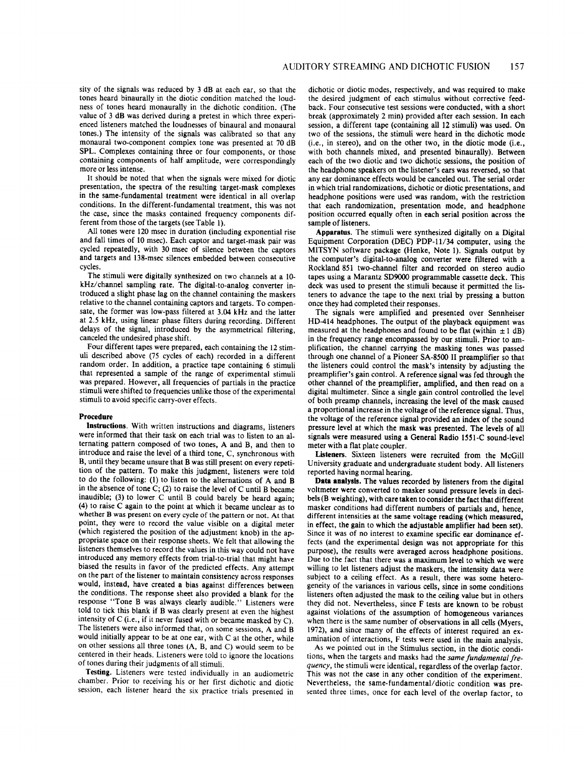sity of the signals was reduced by 3 dB at each ear, so that the tones heard binaurally in the diotic condition matched the loudness of tones heard monaurally in the dichotic condition. (The value of 3 dB was derived during a pretest in which three experienced listeners matched the loudnesses of binaural and monaural tones.) The intensity of the signals was calibrated so that any monaural two-component complex tone was presented at 70 dB SPL. Complexes containing three or four components, or those containing components of half amplitude, were correspondingly more or less intense.

It should be noted that when the signals were mixed for diotic presentation, the spectra of the resulting target-mask complexes in the same-fundamental treatment were identical in all overlap conditions. In the different-fundamental treatment, this was not the case, since the masks contained frequency components different from those of the targets (see Table 1).

All tones were 120 msec in duration (including exponential rise and fall times of l0 msec). Each captor and target-mask pair was cycled repeatedly, with 30 msec of silence between the captors and targets and 138-msec silences embedded between consecutive cycles.

The stimuli were digitally synthesized on two channels at a 10 kHz/channel sampling rate. The digital-to-analog converter introduced a slight phase lag on the channel containing the maskers relative to the channel containing captors and targets. To compensate, the former was low-pass filtered at 3.04 kHz and the latter at 2.5 kHz, using linear phase filters during recording. Different delays of the signal, introduced by the asymmetrical filtering, canceled the undesired phase shift.

Four different tapes were prepared, each containing the 12 stimuli described above (75 cycles of each) recorded in a different random order. In addition, a practice tape containing 6 stimuli that represented a sample of the range of experimental stimuli was prepared. However, all frequencies of partials in the practice stimuli were shifted to frequencies unlike those of the experimental stimuli to avoid specific carry-over effects.

#### **Procedure**

**Instructions.** With written instructions and diagrams, listeners were informed that their task on each trial was to listen to an alternating pattern composed of two tones, A and B, and then to introduce and raise the level of a third tone, C, synchronous with B, until they became unsure that B was still present on every repetition of the pattern. To make this judgment, listeners were told to do the following: (1) to listen to the alternations of A and B in the absence of tone C; (2) to raise the level of C until B became inaudible; (3) to lower  $C$  until  $B$  could barely be heard again; (4) to raise C again to the point at which it became unclear as to whether B was present on every cycle of the pattern or not. At that point, they were to record the value visible on a digital meter (which registered the position of the adjustment knob) in the appropriate space on their response sheets. We felt that allowing the listeners themselves to record the values in this way could not have introduced any memory effects from trial-to-trial that might have biased the results in favor of the predicted effects. Any attempt on the part of the listener to maintain consistency across responses would, instead, have created a bias against differences between the conditions. The response sheet also provided a blank for the response "Tone B was always clearly audible." Listeners were told to tick this blank if B was clearly present at even the highest intensity of C (i.e., if it never fused with or became masked by C). The listeners were also informed that, on some sessions, A and B would initially appear to be at one ear, with C at the other, while on other sessions all three tones (A, B, and C) would seem to be centered in their heads. Listeners were told to ignore the locations of tones during their judgments of all stimuli.

**Testing.** Listeners were tested individually in an audiometric chamber. Prior to receiving his or her first dichotic and diotic session, each listener heard the six practice trials presented in dichotic or diotic modes, respectively, and was required to make the desired judgment of each stimulus without corrective feedback. Four consecutive test sessions were conducted, with a short break (approximately 2 min) provided after each session. In each session, a different tape (containing all 12 stimuli) was used. On two of the sessions, the stimuli were heard in the dichotic mode (i.e., in stereo), and on the other two, in the diotic mode (i.e., with both channels mixed, and presented binaurally). Between each of the two diotic and two dichotic sessions, the position of the headphone speakers on the listener's ears was reversed, so that any ear dominance effects would be canceled out. The serial order in which trial randomizations, dichotic or diotic presentations, and headphone positions were used was random, with the restriction that each randomization, presentation mode, and headphone position occurred equally often in each serial position across the sample of listeners.

**Apparatus.** The stimuli were synthesized digitally on a Digital Equipment Corporation (DEC) PDP-11/34 computer, using the MITSYN software package (Henke, Note 1). Signals output by the computer's digital-to-analog converter were filtered with a Rockland 851 two-channel filter and recorded on stereo audio tapes using a Marantz SD9000 programmable cassette deck. This deck was used to present the stimuli because it permitted the listeners to advance the tape to the next trial by pressing a button once they had completed their responses.

The signals were amplified and presented over Sennheiser HD-414 headphones. The output of the playback equipment was measured at the headphones and found to be flat (within  $\pm 1$  dB) in the frequency range encompassed by our stimuli. Prior to amplification, the channel carrying the masking tones was passed through one channel of a Pioneer SA-8500 II preamplifier so that the listeners could control the mask's intensity by adjusting the preamplifier's gain control. A reference signal was fed through the other channel of the preamplifier, amplified, and then read on a digital multimeter. Since a single gain control controlled the level of both preamp channels, increasing the level of the mask caused a proportional increase in the voltage of the reference signal. Thus, the voltage of the reference signal provided an index of the sound pressure level at which the mask was presented. The levels of all signals were measured using a General Radio 1551-C sound-level meter with a flat plate coupler.

Listeners. Sixteen listeners were recruited from the McGill University graduate and undergraduate student body. All listeners reported having normal hearing.

**Data analysis.** The values recorded by listeners from the **digital** voltmeter were converted to masker sound pressure levels in decibels (B weighting), with care taken to consider the fact that different masker conditions had different numbers of partials and, hence, different intensities at the same voltage reading (which measured, in effect, the gain to which the adjustable amplifier had been set). Since it was of no interest to examine specific ear dominance effects (and the experimental design was not appropriate for this purpose), the results were averaged across headphone positions. Due to the fact that there was a maximum level to which we were willing to let listeners adjust the maskers, the intensity data were subject to a ceiling effect. As a result, there was some heterogeneity of the variances in various cells, since in some conditions listeners often adjusted the mask to the ceiling value but in others they did not. Nevertheless, since F tests are known to be robust against violations of the assumption of homogeneous variances when there is the same number of observations in all cells (Myers, 1972), and since many of the effects of interest required an examination of interactions, F tests were used in the main analysis.

As we pointed out in the Stimulus section, in the diotic conditions, when the targets and masks had the *same fundamental frequency,* the stimuli were identical, regardless of the overlap factor. This was not the case in any other condition of the experiment. Nevertheless, the same-fundamental/diotic condition was presented three times, once for each level of the overlap factor, to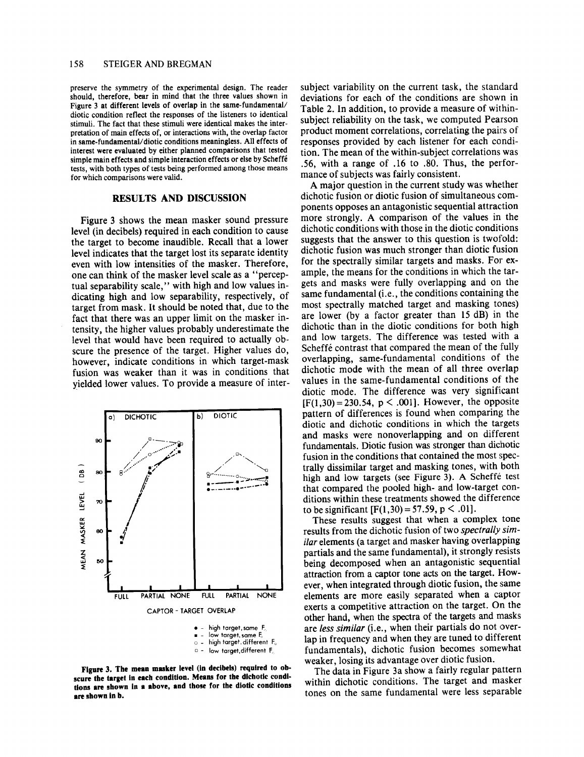preserve the symmetry of the experimental design. The reader should, therefore, bear in mind that the three values shown in Figure 3 at different levels of overlap in the same-fundamental/ diotic condition reflect the responses of the listeners to identical stimuli. The fact that these stimuli were identical makes the interpretation of main effects of, or interactions with, the overlap factor in same-fundamental/diotic conditions meaningless. All effects of interest were evaluated by either planned comparisons that tested simple main effects and simple interaction effects or else by Scheffé tests, with both types of tests being performed among those means for which comparisons were valid.

# RESULTS AND DISCUSSION

Figure 3 shows the mean masker sound pressure level (in decibels) required in each condition to cause the target to become inaudible. Recall that a lower level indicates that the target lost its separate identity even with low intensities of the masker. Therefore, one can think of the masker level scale as a "perceptual separability scale," with high and low values indicating high and low separability, respectively, of target from mask. It should be noted that, due to the fact that there was an upper limit on the masker intensity, the higher values probably underestimate the level that would have been required to actually obscure the presence of the target. Higher values do, however, indicate conditions in which target-mask fusion was weaker than it was in conditions that yielded lower values. To provide a measure of inter-



**Figure 3. The mean masker level (in decibels) required to obscure the target in each ondition. Means for the dichotic** condi**tions are shown** in a **above, and those for the diotic conditions are shown** in b.

subject variability on the current task, the standard deviations for each of the conditions are shown in Table 2. In addition, to provide a measure of withinsubject reliability on the task, we computed Pearson product moment correlations, correlating the pairs of responses provided by each listener for each condition. The mean of the within-subject correlations was .56, with a range of .16 to .80. Thus, the performance of subjects was fairly consistent.

A major question in the current study was whether dichotic fusion or diotic fusion of simultaneous components opposes an antagonistic sequential attraction more strongly. A comparison of the values in the dichotic conditions with those in the diotic conditions suggests that the answer to this question is twofold: dichotic fusion was much stronger than diotic fusion for the spectrally similar targets and masks. For example, the means for the conditions in which the targets and masks were fully overlapping and on the same fundamental (i.e., the conditions containing the most spectrally matched target and masking tones) are lower (by a factor greater than 15 dB) in the dichotic than in the diotic conditions for both high and low targets. The difference was tested with a Scheffé contrast that compared the mean of the fully overlapping, same-fundamental conditions of the dichotic mode with the mean of all three overlap values in the same-fundamental conditions of the diotic mode. The difference was very significant  $[F(1,30) = 230.54, p < .001]$ . However, the opposite pattern of differences is found when comparing the diotic and dichotic conditions in which the targets and masks were nonoverlapping and on different fundamentals. Diotic fusion was stronger than dichotic fusion in the conditions that contained the most spectrally dissimilar target and masking tones, with both high and low targets (see Figure 3). A Scheff $\acute{e}$  test that compared the pooled high- and low-target conditions within these treatments showed the difference to be significant  $[F(1,30) = 57.59, p < .01]$ .

These results suggest that when a complex tone results from the dichotic fusion of two *spectrally similar* elements (a target and masker having overlapping partials and the same fundamental), it strongly resists being decomposed when an antagonistic sequential attraction from a captor tone acts on the target. However, when integrated through diotic fusion, the same elements are more easily separated when a captor exerts a competitive attraction on the target. On the other hand, when the spectra of the targets and masks are *less similar* (i.e., when their partials do not overlap in frequency and when they are tuned to different fundamentals), dichotic fusion becomes somewhat weaker, losing its advantage over diotic fusion.

The data in Figure 3a show a fairly regular pattern within dichotic conditions. The target and masker tones on the same fundamental were less separable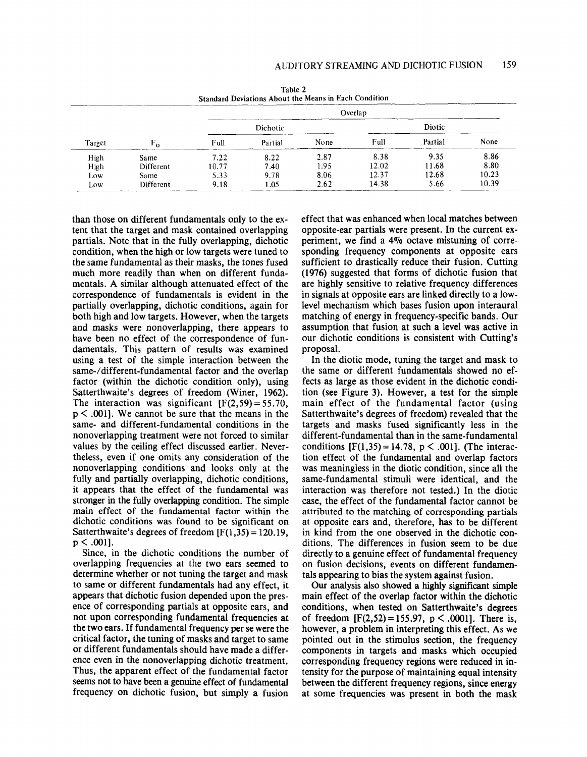| Standard Deviations About the Means in Each Condition |              |          |         |      |               |         |       |  |
|-------------------------------------------------------|--------------|----------|---------|------|---------------|---------|-------|--|
| Target                                                |              | Overlap  |         |      |               |         |       |  |
|                                                       |              | Dichotic |         |      | <b>Diotic</b> |         |       |  |
|                                                       | $F_{\alpha}$ | Full     | Partial | None | Full          | Partial | None  |  |
| High                                                  | Same         | 7.22     | 8.22    | 2.87 | 8.38          | 9.35    | 8.86  |  |
| High                                                  | Different    | 10.77    | 7.40    | 1.95 | 12.02         | 11.68   | 8.80  |  |
| Low                                                   | Same         | 5.33     | 9.78    | 8.06 | 12.37         | 12.68   | 10.23 |  |
| Low                                                   | Different    | 9.18     | 1.05    | 2.62 | 14.38         | 5.66    | 10.39 |  |

Table 2

than those on different fundamentals only to the extent that the target and mask contained overlapping partials. Note that in the fully overlapping, dichotic condition, when the high or low targets were tuned to the same fundamental as their masks, the tones fused much more readily than when on different fundamentals. A similar although attenuated effect of the correspondence of fundamentals is evident in the partially overlapping, dichotic conditions, again for both high and low targets. However, when the targets and masks were nonoverlapping, there appears to have been no effect of the correspondence of fundamentals. This pattern of results was examined using a test of the simple interaction between the same-/different-fundamental factor and the overlap factor (within the dichotic condition only), using Satterthwaite's degrees of freedom (Winer, 1962). The interaction was significant  $[F(2,59)=55.70,$  $p \leq 0.001$ . We cannot be sure that the means in the same- and different-fundamental conditions in the nonoverlapping treatment were not forced to similar values by the ceiling effect discussed earlier. Nevertheless, even if one omits any consideration of the nonoverlapping conditions and looks only at the fully and partially overlapping, dichotic conditions, it appears that the effect of the fundamental was stronger in the fully overlapping condition. The simple main effect of the fundamental factor within the dichotic conditions was found to be significant on Satterthwaite's degrees of freedom  $[F(1,35) = 120.19]$ ,  $p < .001$ ].

Since, in the dichotic conditions the number of overlapping frequencies at the two ears seemed to determine whether or not tuning the target and mask to same or different fundamentals had any effect, it appears that dichotic fusion depended upon the presence of corresponding partials at opposite ears, and not upon corresponding fundamental frequencies at the two ears. If fundamental frequency per se were the critical factor, the tuning of masks and target to same or different fundamentals should have made a difference even in the nonoverlapping dichotic treatment. Thus, the apparent effect of the fundamental factor seems not to have been a genuine effect of fundamental frequency on dichotic fusion, but simply a fusion effect that was enhanced when local matches between opposite-ear partials were present. In the current experiment, we find a 4% octave mistuning of corresponding frequency components at opposite ears sufficient to drastically reduce their fusion. Cutting (1976) suggested that forms of dichotic fusion that are highly sensitive to relative frequency differences in signals at opposite ears are linked directly to a lowlevel mechanism which bases fusion upon interaural matching of energy in frequency-specific bands. Our assumption that fusion at such a level was active in our dichotic conditions is consistent with Cutting's proposal.

In the diotic mode, tuning the target and mask to the same or different fundamentals showed no effects as large as those evident in the dichotic condition (see Figure 3). However, a test for the simple main effect of the fundamental factor (using Satterthwaite's degrees of freedom) revealed that the targets and masks fused significantly less in the different-fundamental than in the same-fundamental conditions  $[F(1,35) = 14.78, p \le .001]$ . (The interaction effect of the fundamental and overlap factors was meaningless in the diotic condition, since all the same-fundamental stimuli were identical, and the interaction was therefore not tested.) In the diotic case, the effect of the fundamental factor cannot be attributed to the matching of corresponding partials at opposite ears and, therefore, has to be different in kind from the one observed in the dichotic conditions. The differences in fusion seem to be due directly to a genuine effect of fundamental frequency on fusion decisions, events on different fundamentals appearing to bias the system against fusion.

Our analysis also showed a highly significant simple main effect of the overlap factor within the dichotic conditions, when tested on Satterthwaite's degrees of freedom  $[F(2,52) = 155.97, p < .0001]$ . There is, however, a problem in interpreting this effect. As we pointed out in the stimulus section, the frequency components in targets and masks which occupied corresponding frequency regions were reduced in intensity for the purpose of maintaining equal intensity between the different frequency regions, since energy at some frequencies was present in both the mask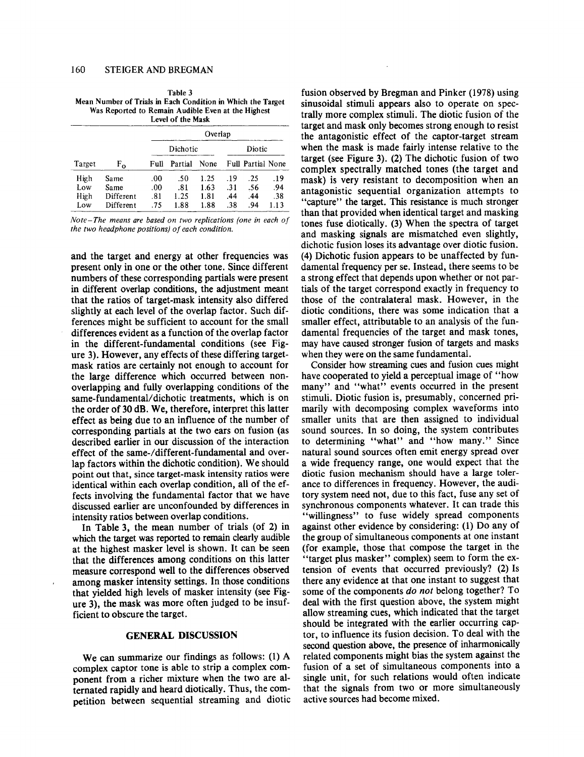| Table 3                                                     |  |  |  |  |  |  |  |
|-------------------------------------------------------------|--|--|--|--|--|--|--|
| Mean Number of Trials in Each Condition in Which the Target |  |  |  |  |  |  |  |
| Was Reported to Remain Audible Even at the Highest          |  |  |  |  |  |  |  |
| Level of the Mask                                           |  |  |  |  |  |  |  |

|        | $F_{0}$   | Overlap  |         |      |        |                          |      |  |
|--------|-----------|----------|---------|------|--------|--------------------------|------|--|
|        |           | Dichotic |         |      | Diotic |                          |      |  |
| Target |           | Full     | Partial | None |        | <b>Full Partial None</b> |      |  |
| High   | Same      | .00.     | .50     | 1.25 | .19    | .25                      | .19  |  |
| Low    | Same      | .00.     | .81     | 1.63 | .31    | .56                      | .94  |  |
| High   | Different | .81      | 1.25    | 1.81 | .44    | .44                      | .38  |  |
| Low    | Different | .75      | 1.88    | 1.88 | .38    | .94                      | 1.13 |  |

*Note-The means are based on two replications (one in each of the two headphone positions) of each condition.*

and the target and energy at other frequencies was present only in one or the other tone. Since different numbers of these corresponding partials were present in different overlap conditions, the adjustment meant that the ratios of target-mask intensity also differed slightly at each level of the overlap factor. Such differences might be sufficient to account for the small differences evident as a function of the overlap factor in the different-fundamental conditions (see Figure 3). However, any effects of these differing targetmask ratios are certainly not enough to account for the large difference which occurred between nonoverlapping and fully overlapping conditions of the same-fundamental/dichotic treatments, which is on the order of 30 dB. We, therefore, interpret this latter effect as being due to an influence of the number of corresponding partials at the two ears on fusion (as described earlier in our discussion of the interaction effect of the same-/different-fundamental and overlap factors within the dichotic condition). We should point out that, since target-mask intensity ratios were identical within each overlap condition, all of the effects involving the fundamental factor that we have discussed earlier are unconfounded by differences in intensity ratios between overlap conditions.

In Table 3, the mean number of trials (of 2) in which the target was reported to remain clearly audible at the highest masker level is shown. It can be seen that the differences among conditions on this latter measure correspond well to the differences observed among masker intensity settings. In those conditions that yielded high levels of masker intensity (see Figure 3), the mask was more often judged to be insufficient to obscure the target.

## GENERAL DISCUSSION

We can summarize our findings as follows: (1) A complex captor tone is able to strip a complex component from a richer mixture when the two are alternated rapidly and heard diotically. Thus, the competition between sequential streaming and diotic

fusion observed by Bregman and Pinker (1978) using sinusoidal stimuli appears also to operate on spectrally more complex stimuli. The diotic fusion of the target and mask only becomes strong enough to resist the antagonistic effect of the captor-target stream when the mask is made fairly intense relative to the target (see Figure 3). (2) The dichotic fusion of two complex spectrally matched tones (the target and mask) is very resistant to decomposition when an antagonistic sequential organization attempts to "capture" the target. This resistance is much stronger than that provided when identical target and masking tones fuse diotically. (3) When the spectra of target and masking signals are mismatched even slightly, dichotic fusion loses its advantage over diotic fusion. (4) Dichotic fusion appears to be unaffected by fundamental frequency per se. Instead, there seems to be a strong effect that depends upon whether or not partials of the target correspond exactly in frequency to those of the contralateral mask. However, in the diotic conditions, there was some indication that a smaller effect, attributable to an analysis of the fundamental frequencies of the target and mask tones, may have caused stronger fusion of targets and masks when they were on the same fundamental.

Consider how streaming cues and fusion cues might have cooperated to yield a perceptual image of "how many" and "what" events occurred in the present stimuli. Diotic fusion is, presumably, concerned primarily with decomposing complex waveforms into smaller units that are then assigned to individual sound sources. In so doing, the system contributes to determining "what" and "how many." Since natural sound sources often emit energy spread over a wide frequency range, one would expect that the diotic fusion mechanism should have a large tolerance to differences in frequency. However, the auditory system need not, due to this fact, fuse any set of synchronous components whatever. It can trade this "willingness" to fuse widely spread components against other evidence by considering: (1) Do any of the group of simultaneous components at one instant (for example, those that compose the target in the "target plus masker" complex) seem to form the extension of events that occurred previously? (2) Is there any evidence at that one instant to suggest that some of the components *do not* belong together'? To deal with the first question above, the system might allow streaming cues, which indicated that the target should be integrated with the earlier occurring captor, to influence its fusion decision. To deal with the second question above, the presence of inharmonically related components might bias the system against the fusion of a set of simultaneous components into a single unit, for such relations would often indicate that the signals from two or more simultaneously active sources had become mixed.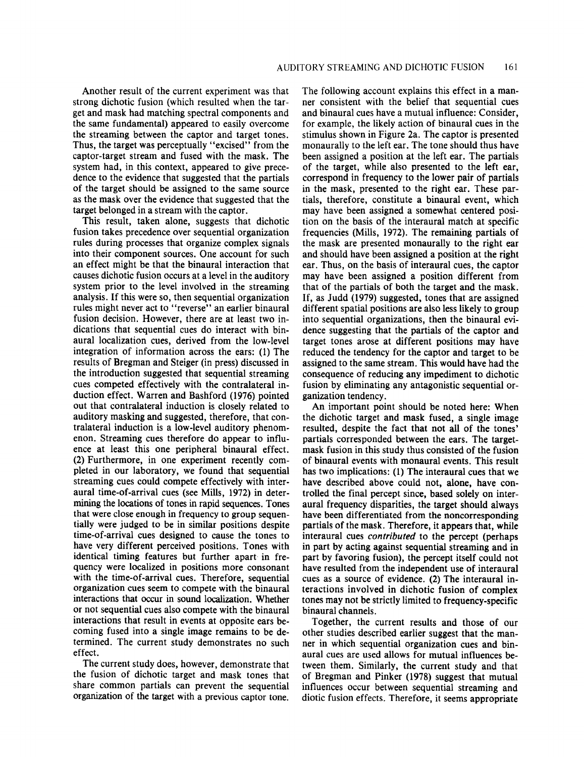Another result of the current experiment was that strong dichotic fusion (which resulted when the target and mask had matching spectral components and the same fundamental) appeared to easily overcome the streaming between the captor and target tones. Thus, the target was perceptually "excised" from the captor-target stream and fused with the mask. The system had, in this context, appeared to give precedence to the evidence that suggested that the partials of the target should be assigned to the same source as the mask over the evidence that suggested that the target belonged in a stream with the captor.

This result, taken alone, suggests that dichotic fusion takes precedence over sequential organization rules during processes that organize complex signals into their component sources. One account for such an effect might be that the binaural interaction that causes dichotic fusion occurs at a level in the auditory system prior to the level involved in the streaming analysis. If this were so, then sequential organization rules might never act to "reverse" an earlier binaural fusion decision. However, there are at least two indications that sequential cues do interact with binaural localization cues, derived from the low-level integration of information across the ears: (1) The results of Bregman and Steiger (in press) discussed in the introduction suggested that sequential streaming cues competed effectively with the contralateral induction effect. Warren and Bashford (1976) pointed out that contralateral induction is closely related to auditory masking and suggested, therefore, that contralateral induction is a low,level auditory phenomenon. Streaming cues therefore do appear to influence at least this one peripheral binaural effect. (2) Furthermore, in one experiment recently completed in our laboratory, we found that sequential streaming cues could compete effectively with interaural time-of-arrival cues (see Mills, 1972) in determining the locations of tones in rapid sequences. Tones that were close enough in frequency to group sequentially were judged to be in similar positions despite time-of-arrival cues designed to cause the tones to have very different perceived positions. Tones with identical timing features but further apart-in frequency were localized in positions more consonant with the time-of-arrival cues. Therefore, sequential organization cues seem to compete with the binaural interactions that occur in sound localization. Whether or not sequential cues also compete with the binaural interactions that result in events at opposite ears becoming fused into a single image remains to be determined. The current study demonstrates no such effect.

The current study does, however, demonstrate that the fusion of dichotic target and mask tones that share common partials can prevent the sequential organization of the target with a previous captor tone.

The following account explains this effect in a manner consistent with the belief that sequential cues and binaural cues have a mutual influence: Consider, for example, the likely action of binaural cues in the stimulus shown in Figure 2a. The captor is presented monaurally to the left ear. The tone should thus have been assigned a position at the left ear. The partials of the target, while also presented to the left ear, correspond in frequency to the lower pair of partials in the mask, presented to the right ear. These partials, therefore, constitute a binaural event, which may have been assigned a somewhat centered position on the basis of the interaural match at specific frequencies (Mills, 1972). The remaining partials of the mask are presented monaurally to the right ear and should have been assigned a position at the right ear. Thus, on the basis of interaural cues, the captor may have been assigned a position different from that of the partials of both the target and the mask. If, as Judd (1979) suggested, tones that are assigned different spatial positions are also less likely to group into sequential organizations, then the binaural evidence suggesting that the partials of the captor and target tones arose at different positions may have reduced the tendency for the captor and target to be assigned to the same stream. This would have had the consequence of reducing any impediment to dichotic fusion by eliminating any antagonistic sequential organization tendency.

An important point should be noted here: When the dichotic target and mask fused, a single image resulted, despite the fact that not all of the tones' partials corresponded between the ears. The targetmask fusion in this study thus consisted of the fusion of binaural events with monaural events. This result has two implications: (1) The interaural cues that we have described above could not, alone, have controlled the final percept since, based solely on interaural frequency disparities, the target should always have been differentiated from the noncorresponding partials of the mask. Therefore, it appears that, while interaural cues *contributed* to the percept (perhaps in part by acting against sequential streaming and in part by favoring fusion), the percept itself could not have resulted from the independent use of interaural cues as a source of evidence. (2) The interaural interactions involved in dichotic fusion of complex tones may not be strictly limited to frequency-specific binaural channels.

Together, the current results and those of our other studies described earlier suggest that the manner in which sequential organization cues and binaural cues are used allows for mutual influences between them. Similarly, the current study and that of Bregman and Pinker (1978) suggest that mutual influences occur between sequential streaming and diotic fusion effects. Therefore, it seems appropriate